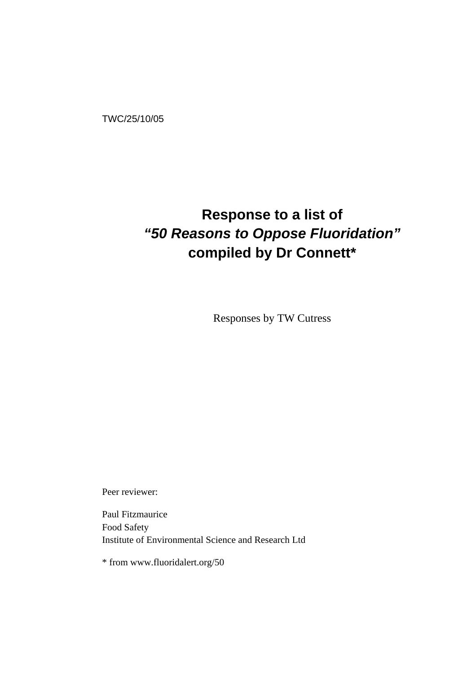TWC/25/10/05

# **Response to a list of**  *"50 Reasons to Oppose Fluoridation"*  **compiled by Dr Connett\***

Responses by TW Cutress

Peer reviewer:

Paul Fitzmaurice Food Safety Institute of Environmental Science and Research Ltd

\* from www.fluoridalert.org/50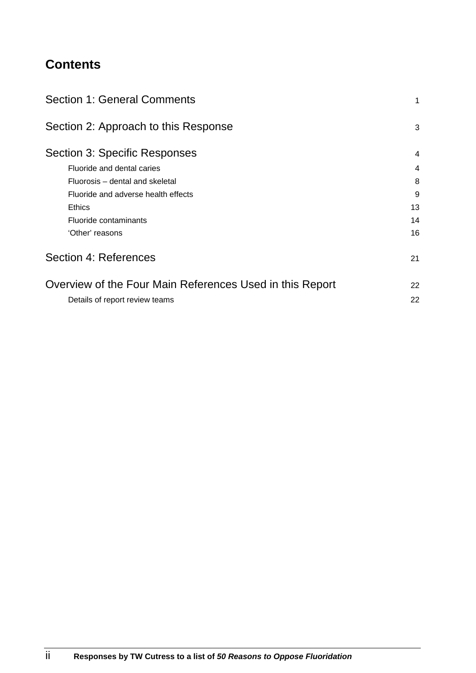# **Contents**

| <b>Section 1: General Comments</b>                                    | 1      |
|-----------------------------------------------------------------------|--------|
| Section 2: Approach to this Response<br>Section 3: Specific Responses | 3<br>4 |
|                                                                       |        |
| Fluorosis – dental and skeletal                                       | 8      |
| Fluoride and adverse health effects                                   | 9      |
| <b>Ethics</b>                                                         | 13     |
| Fluoride contaminants                                                 | 14     |
| 'Other' reasons                                                       | 16     |
| Section 4: References                                                 | 21     |
| Overview of the Four Main References Used in this Report              | 22     |
| Details of report review teams                                        | 22     |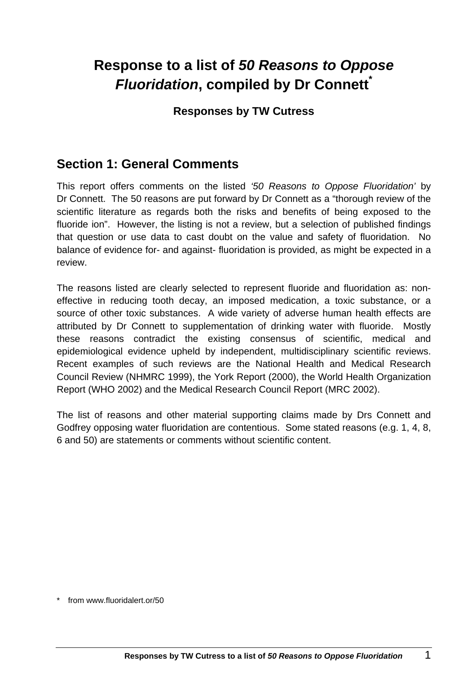# **Response to a list of** *50 Reasons to Oppose Fluoridation***, compiled by Dr Connett\***

## **Responses by TW Cutress**

## **Section 1: General Comments**

This report offers comments on the listed *'50 Reasons to Oppose Fluoridation'* by Dr Connett. The 50 reasons are put forward by Dr Connett as a "thorough review of the scientific literature as regards both the risks and benefits of being exposed to the fluoride ion". However, the listing is not a review, but a selection of published findings that question or use data to cast doubt on the value and safety of fluoridation. No balance of evidence for- and against- fluoridation is provided, as might be expected in a review.

The reasons listed are clearly selected to represent fluoride and fluoridation as: noneffective in reducing tooth decay, an imposed medication, a toxic substance, or a source of other toxic substances. A wide variety of adverse human health effects are attributed by Dr Connett to supplementation of drinking water with fluoride. Mostly these reasons contradict the existing consensus of scientific, medical and epidemiological evidence upheld by independent, multidisciplinary scientific reviews. Recent examples of such reviews are the National Health and Medical Research Council Review (NHMRC 1999), the York Report (2000), the World Health Organization Report (WHO 2002) and the Medical Research Council Report (MRC 2002).

The list of reasons and other material supporting claims made by Drs Connett and Godfrey opposing water fluoridation are contentious. Some stated reasons (e.g. 1, 4, 8, 6 and 50) are statements or comments without scientific content.

from www.fluoridalert.or/50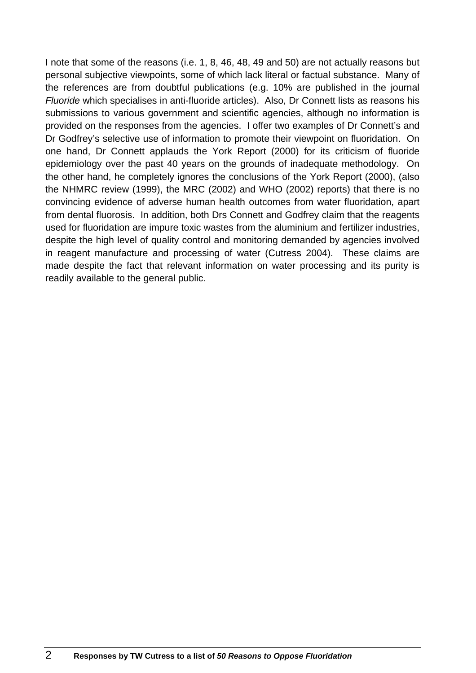I note that some of the reasons (i.e. 1, 8, 46, 48, 49 and 50) are not actually reasons but personal subjective viewpoints, some of which lack literal or factual substance. Many of the references are from doubtful publications (e.g. 10% are published in the journal *Fluoride* which specialises in anti-fluoride articles). Also, Dr Connett lists as reasons his submissions to various government and scientific agencies, although no information is provided on the responses from the agencies. I offer two examples of Dr Connett's and Dr Godfrey's selective use of information to promote their viewpoint on fluoridation. On one hand, Dr Connett applauds the York Report (2000) for its criticism of fluoride epidemiology over the past 40 years on the grounds of inadequate methodology. On the other hand, he completely ignores the conclusions of the York Report (2000), (also the NHMRC review (1999), the MRC (2002) and WHO (2002) reports) that there is no convincing evidence of adverse human health outcomes from water fluoridation, apart from dental fluorosis. In addition, both Drs Connett and Godfrey claim that the reagents used for fluoridation are impure toxic wastes from the aluminium and fertilizer industries, despite the high level of quality control and monitoring demanded by agencies involved in reagent manufacture and processing of water (Cutress 2004). These claims are made despite the fact that relevant information on water processing and its purity is readily available to the general public.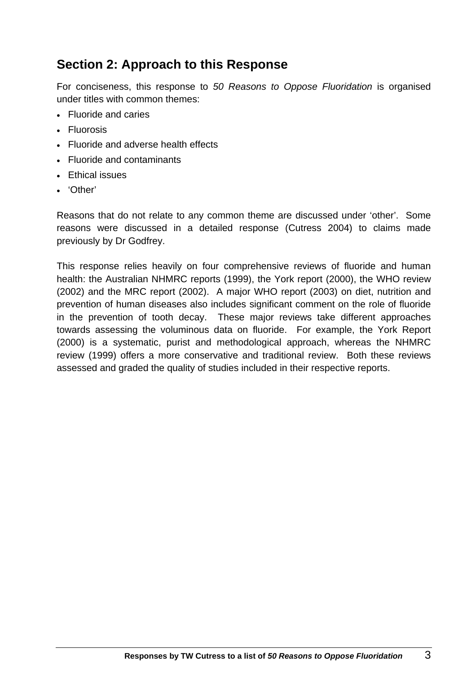## **Section 2: Approach to this Response**

For conciseness, this response to *50 Reasons to Oppose Fluoridation* is organised under titles with common themes:

- Fluoride and caries
- Fluorosis
- Fluoride and adverse health effects
- Fluoride and contaminants
- Ethical issues
- 'Other'

Reasons that do not relate to any common theme are discussed under 'other'. Some reasons were discussed in a detailed response (Cutress 2004) to claims made previously by Dr Godfrey.

This response relies heavily on four comprehensive reviews of fluoride and human health: the Australian NHMRC reports (1999), the York report (2000), the WHO review (2002) and the MRC report (2002). A major WHO report (2003) on diet, nutrition and prevention of human diseases also includes significant comment on the role of fluoride in the prevention of tooth decay. These major reviews take different approaches towards assessing the voluminous data on fluoride. For example, the York Report (2000) is a systematic, purist and methodological approach, whereas the NHMRC review (1999) offers a more conservative and traditional review. Both these reviews assessed and graded the quality of studies included in their respective reports.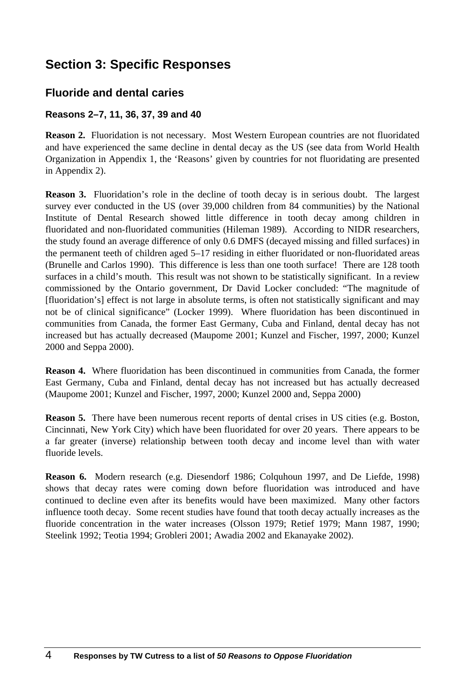## **Section 3: Specific Responses**

## **Fluoride and dental caries**

### **Reasons 2–7, 11, 36, 37, 39 and 40**

**Reason 2.** Fluoridation is not necessary. Most Western European countries are not fluoridated and have experienced the same decline in dental decay as the US (see data from World Health Organization in Appendix 1, the 'Reasons' given by countries for not fluoridating are presented in Appendix 2).

**Reason 3.** Fluoridation's role in the decline of tooth decay is in serious doubt. The largest survey ever conducted in the US (over 39,000 children from 84 communities) by the National Institute of Dental Research showed little difference in tooth decay among children in fluoridated and non-fluoridated communities (Hileman 1989). According to NIDR researchers, the study found an average difference of only 0.6 DMFS (decayed missing and filled surfaces) in the permanent teeth of children aged 5–17 residing in either fluoridated or non-fluoridated areas (Brunelle and Carlos 1990). This difference is less than one tooth surface! There are 128 tooth surfaces in a child's mouth. This result was not shown to be statistically significant. In a review commissioned by the Ontario government, Dr David Locker concluded: "The magnitude of [fluoridation's] effect is not large in absolute terms, is often not statistically significant and may not be of clinical significance" (Locker 1999). Where fluoridation has been discontinued in communities from Canada, the former East Germany, Cuba and Finland, dental decay has not increased but has actually decreased (Maupome 2001; Kunzel and Fischer, 1997, 2000; Kunzel 2000 and Seppa 2000).

**Reason 4.** Where fluoridation has been discontinued in communities from Canada, the former East Germany, Cuba and Finland, dental decay has not increased but has actually decreased (Maupome 2001; Kunzel and Fischer, 1997, 2000; Kunzel 2000 and, Seppa 2000)

**Reason 5.** There have been numerous recent reports of dental crises in US cities (e.g. Boston, Cincinnati, New York City) which have been fluoridated for over 20 years. There appears to be a far greater (inverse) relationship between tooth decay and income level than with water fluoride levels.

**Reason 6.** Modern research (e.g. Diesendorf 1986; Colquhoun 1997, and De Liefde, 1998) shows that decay rates were coming down before fluoridation was introduced and have continued to decline even after its benefits would have been maximized. Many other factors influence tooth decay. Some recent studies have found that tooth decay actually increases as the fluoride concentration in the water increases (Olsson 1979; Retief 1979; Mann 1987, 1990; Steelink 1992; Teotia 1994; Grobleri 2001; Awadia 2002 and Ekanayake 2002).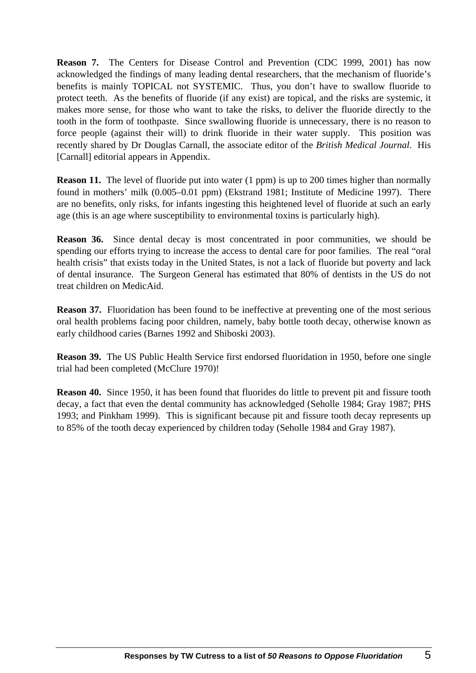**Reason 7.** The Centers for Disease Control and Prevention (CDC 1999, 2001) has now acknowledged the findings of many leading dental researchers, that the mechanism of fluoride's benefits is mainly TOPICAL not SYSTEMIC. Thus, you don't have to swallow fluoride to protect teeth. As the benefits of fluoride (if any exist) are topical, and the risks are systemic, it makes more sense, for those who want to take the risks, to deliver the fluoride directly to the tooth in the form of toothpaste. Since swallowing fluoride is unnecessary, there is no reason to force people (against their will) to drink fluoride in their water supply. This position was recently shared by Dr Douglas Carnall, the associate editor of the *British Medical Journal*. His [Carnall] editorial appears in Appendix.

**Reason 11.** The level of fluoride put into water (1 ppm) is up to 200 times higher than normally found in mothers' milk (0.005–0.01 ppm) (Ekstrand 1981; Institute of Medicine 1997). There are no benefits, only risks, for infants ingesting this heightened level of fluoride at such an early age (this is an age where susceptibility to environmental toxins is particularly high).

**Reason 36.** Since dental decay is most concentrated in poor communities, we should be spending our efforts trying to increase the access to dental care for poor families. The real "oral health crisis" that exists today in the United States, is not a lack of fluoride but poverty and lack of dental insurance. The Surgeon General has estimated that 80% of dentists in the US do not treat children on MedicAid.

**Reason 37.** Fluoridation has been found to be ineffective at preventing one of the most serious oral health problems facing poor children, namely, baby bottle tooth decay, otherwise known as early childhood caries (Barnes 1992 and Shiboski 2003).

**Reason 39.** The US Public Health Service first endorsed fluoridation in 1950, before one single trial had been completed (McClure 1970)!

**Reason 40.** Since 1950, it has been found that fluorides do little to prevent pit and fissure tooth decay, a fact that even the dental community has acknowledged (Seholle 1984; Gray 1987; PHS 1993; and Pinkham 1999). This is significant because pit and fissure tooth decay represents up to 85% of the tooth decay experienced by children today (Seholle 1984 and Gray 1987).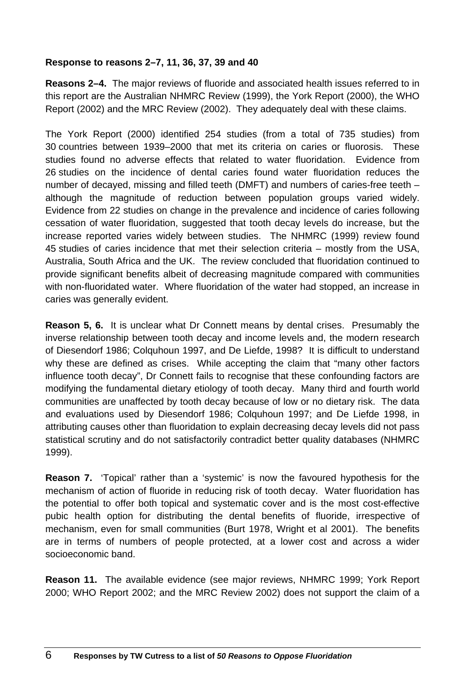### **Response to reasons 2–7, 11, 36, 37, 39 and 40**

**Reasons 2–4.** The major reviews of fluoride and associated health issues referred to in this report are the Australian NHMRC Review (1999), the York Report (2000), the WHO Report (2002) and the MRC Review (2002). They adequately deal with these claims.

The York Report (2000) identified 254 studies (from a total of 735 studies) from 30 countries between 1939–2000 that met its criteria on caries or fluorosis. These studies found no adverse effects that related to water fluoridation. Evidence from 26 studies on the incidence of dental caries found water fluoridation reduces the number of decayed, missing and filled teeth (DMFT) and numbers of caries-free teeth – although the magnitude of reduction between population groups varied widely. Evidence from 22 studies on change in the prevalence and incidence of caries following cessation of water fluoridation, suggested that tooth decay levels do increase, but the increase reported varies widely between studies. The NHMRC (1999) review found 45 studies of caries incidence that met their selection criteria – mostly from the USA, Australia, South Africa and the UK. The review concluded that fluoridation continued to provide significant benefits albeit of decreasing magnitude compared with communities with non-fluoridated water. Where fluoridation of the water had stopped, an increase in caries was generally evident.

**Reason 5, 6.** It is unclear what Dr Connett means by dental crises. Presumably the inverse relationship between tooth decay and income levels and, the modern research of Diesendorf 1986; Colquhoun 1997, and De Liefde, 1998? It is difficult to understand why these are defined as crises. While accepting the claim that "many other factors influence tooth decay", Dr Connett fails to recognise that these confounding factors are modifying the fundamental dietary etiology of tooth decay. Many third and fourth world communities are unaffected by tooth decay because of low or no dietary risk. The data and evaluations used by Diesendorf 1986; Colquhoun 1997; and De Liefde 1998, in attributing causes other than fluoridation to explain decreasing decay levels did not pass statistical scrutiny and do not satisfactorily contradict better quality databases (NHMRC 1999).

**Reason 7.** 'Topical' rather than a 'systemic' is now the favoured hypothesis for the mechanism of action of fluoride in reducing risk of tooth decay. Water fluoridation has the potential to offer both topical and systematic cover and is the most cost-effective pubic health option for distributing the dental benefits of fluoride, irrespective of mechanism, even for small communities (Burt 1978, Wright et al 2001). The benefits are in terms of numbers of people protected, at a lower cost and across a wider socioeconomic band.

**Reason 11.** The available evidence (see major reviews, NHMRC 1999; York Report 2000; WHO Report 2002; and the MRC Review 2002) does not support the claim of a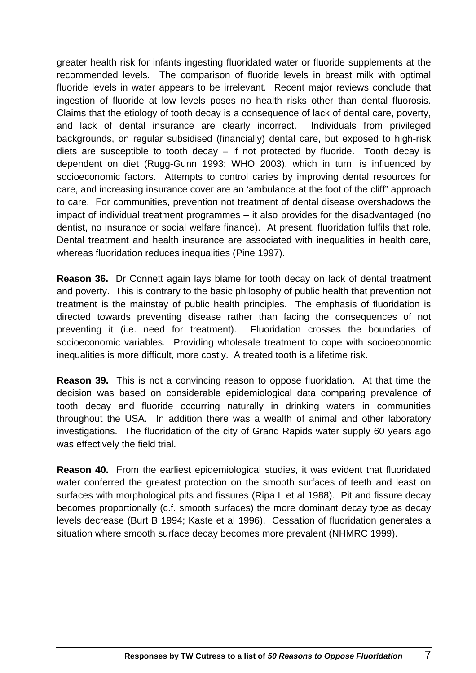greater health risk for infants ingesting fluoridated water or fluoride supplements at the recommended levels. The comparison of fluoride levels in breast milk with optimal fluoride levels in water appears to be irrelevant. Recent major reviews conclude that ingestion of fluoride at low levels poses no health risks other than dental fluorosis. Claims that the etiology of tooth decay is a consequence of lack of dental care, poverty, and lack of dental insurance are clearly incorrect. Individuals from privileged backgrounds, on regular subsidised (financially) dental care, but exposed to high-risk diets are susceptible to tooth decay – if not protected by fluoride. Tooth decay is dependent on diet (Rugg-Gunn 1993; WHO 2003), which in turn, is influenced by socioeconomic factors. Attempts to control caries by improving dental resources for care, and increasing insurance cover are an 'ambulance at the foot of the cliff" approach to care. For communities, prevention not treatment of dental disease overshadows the impact of individual treatment programmes – it also provides for the disadvantaged (no dentist, no insurance or social welfare finance). At present, fluoridation fulfils that role. Dental treatment and health insurance are associated with inequalities in health care, whereas fluoridation reduces inequalities (Pine 1997).

**Reason 36.** Dr Connett again lays blame for tooth decay on lack of dental treatment and poverty. This is contrary to the basic philosophy of public health that prevention not treatment is the mainstay of public health principles. The emphasis of fluoridation is directed towards preventing disease rather than facing the consequences of not preventing it (i.e. need for treatment). Fluoridation crosses the boundaries of socioeconomic variables. Providing wholesale treatment to cope with socioeconomic inequalities is more difficult, more costly. A treated tooth is a lifetime risk.

**Reason 39.** This is not a convincing reason to oppose fluoridation. At that time the decision was based on considerable epidemiological data comparing prevalence of tooth decay and fluoride occurring naturally in drinking waters in communities throughout the USA. In addition there was a wealth of animal and other laboratory investigations. The fluoridation of the city of Grand Rapids water supply 60 years ago was effectively the field trial.

**Reason 40.** From the earliest epidemiological studies, it was evident that fluoridated water conferred the greatest protection on the smooth surfaces of teeth and least on surfaces with morphological pits and fissures (Ripa L et al 1988). Pit and fissure decay becomes proportionally (c.f. smooth surfaces) the more dominant decay type as decay levels decrease (Burt B 1994; Kaste et al 1996). Cessation of fluoridation generates a situation where smooth surface decay becomes more prevalent (NHMRC 1999).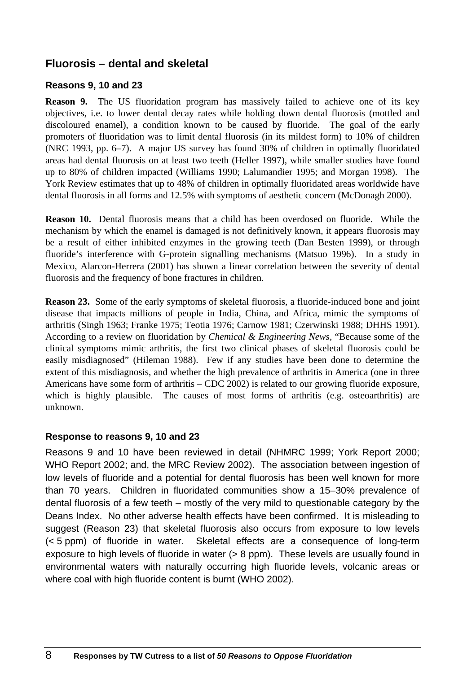## **Fluorosis – dental and skeletal**

#### **Reasons 9, 10 and 23**

**Reason 9.** The US fluoridation program has massively failed to achieve one of its key objectives, i.e. to lower dental decay rates while holding down dental fluorosis (mottled and discoloured enamel), a condition known to be caused by fluoride. The goal of the early promoters of fluoridation was to limit dental fluorosis (in its mildest form) to 10% of children (NRC 1993, pp. 6–7). A major US survey has found 30% of children in optimally fluoridated areas had dental fluorosis on at least two teeth (Heller 1997), while smaller studies have found up to 80% of children impacted (Williams 1990; Lalumandier 1995; and Morgan 1998). The York Review estimates that up to 48% of children in optimally fluoridated areas worldwide have dental fluorosis in all forms and 12.5% with symptoms of aesthetic concern (McDonagh 2000).

**Reason 10.** Dental fluorosis means that a child has been overdosed on fluoride. While the mechanism by which the enamel is damaged is not definitively known, it appears fluorosis may be a result of either inhibited enzymes in the growing teeth (Dan Besten 1999), or through fluoride's interference with G-protein signalling mechanisms (Matsuo 1996). In a study in Mexico, Alarcon-Herrera (2001) has shown a linear correlation between the severity of dental fluorosis and the frequency of bone fractures in children.

**Reason 23.** Some of the early symptoms of skeletal fluorosis, a fluoride-induced bone and joint disease that impacts millions of people in India, China, and Africa, mimic the symptoms of arthritis (Singh 1963; Franke 1975; Teotia 1976; Carnow 1981; Czerwinski 1988; DHHS 1991). According to a review on fluoridation by *Chemical & Engineering News*, "Because some of the clinical symptoms mimic arthritis, the first two clinical phases of skeletal fluorosis could be easily misdiagnosed" (Hileman 1988). Few if any studies have been done to determine the extent of this misdiagnosis, and whether the high prevalence of arthritis in America (one in three Americans have some form of arthritis – CDC 2002) is related to our growing fluoride exposure, which is highly plausible. The causes of most forms of arthritis (e.g. osteoarthritis) are unknown.

#### **Response to reasons 9, 10 and 23**

Reasons 9 and 10 have been reviewed in detail (NHMRC 1999; York Report 2000; WHO Report 2002; and, the MRC Review 2002). The association between ingestion of low levels of fluoride and a potential for dental fluorosis has been well known for more than 70 years. Children in fluoridated communities show a 15–30% prevalence of dental fluorosis of a few teeth – mostly of the very mild to questionable category by the Deans Index. No other adverse health effects have been confirmed. It is misleading to suggest (Reason 23) that skeletal fluorosis also occurs from exposure to low levels (< 5 ppm) of fluoride in water. Skeletal effects are a consequence of long-term exposure to high levels of fluoride in water (> 8 ppm). These levels are usually found in environmental waters with naturally occurring high fluoride levels, volcanic areas or where coal with high fluoride content is burnt (WHO 2002).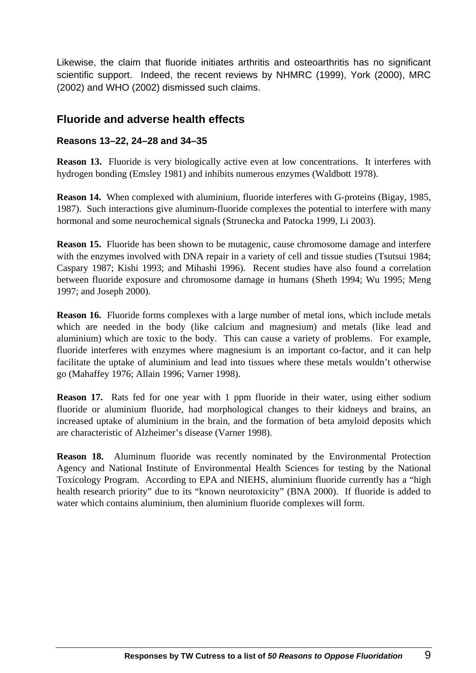Likewise, the claim that fluoride initiates arthritis and osteoarthritis has no significant scientific support. Indeed, the recent reviews by NHMRC (1999), York (2000), MRC (2002) and WHO (2002) dismissed such claims.

### **Fluoride and adverse health effects**

#### **Reasons 13–22, 24–28 and 34–35**

**Reason 13.** Fluoride is very biologically active even at low concentrations. It interferes with hydrogen bonding (Emsley 1981) and inhibits numerous enzymes (Waldbott 1978).

**Reason 14.** When complexed with aluminium, fluoride interferes with G-proteins (Bigay, 1985, 1987). Such interactions give aluminum-fluoride complexes the potential to interfere with many hormonal and some neurochemical signals (Strunecka and Patocka 1999, Li 2003).

**Reason 15.** Fluoride has been shown to be mutagenic, cause chromosome damage and interfere with the enzymes involved with DNA repair in a variety of cell and tissue studies (Tsutsui 1984; Caspary 1987; Kishi 1993; and Mihashi 1996). Recent studies have also found a correlation between fluoride exposure and chromosome damage in humans (Sheth 1994; Wu 1995; Meng 1997; and Joseph 2000).

**Reason 16.** Fluoride forms complexes with a large number of metal ions, which include metals which are needed in the body (like calcium and magnesium) and metals (like lead and aluminium) which are toxic to the body. This can cause a variety of problems. For example, fluoride interferes with enzymes where magnesium is an important co-factor, and it can help facilitate the uptake of aluminium and lead into tissues where these metals wouldn't otherwise go (Mahaffey 1976; Allain 1996; Varner 1998).

**Reason 17.** Rats fed for one year with 1 ppm fluoride in their water, using either sodium fluoride or aluminium fluoride, had morphological changes to their kidneys and brains, an increased uptake of aluminium in the brain, and the formation of beta amyloid deposits which are characteristic of Alzheimer's disease (Varner 1998).

**Reason 18.** Aluminum fluoride was recently nominated by the Environmental Protection Agency and National Institute of Environmental Health Sciences for testing by the National Toxicology Program. According to EPA and NIEHS, aluminium fluoride currently has a "high health research priority" due to its "known neurotoxicity" (BNA 2000). If fluoride is added to water which contains aluminium, then aluminium fluoride complexes will form.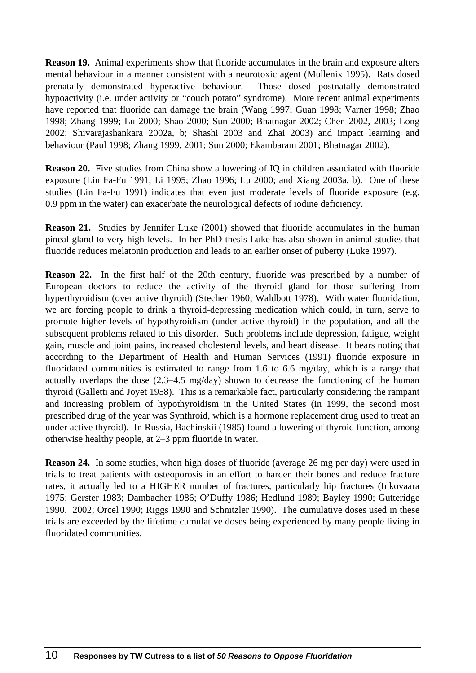**Reason 19.** Animal experiments show that fluoride accumulates in the brain and exposure alters mental behaviour in a manner consistent with a neurotoxic agent (Mullenix 1995). Rats dosed prenatally demonstrated hyperactive behaviour. Those dosed postnatally demonstrated hypoactivity (i.e. under activity or "couch potato" syndrome). More recent animal experiments have reported that fluoride can damage the brain (Wang 1997; Guan 1998; Varner 1998; Zhao 1998; Zhang 1999; Lu 2000; Shao 2000; Sun 2000; Bhatnagar 2002; Chen 2002, 2003; Long 2002; Shivarajashankara 2002a, b; Shashi 2003 and Zhai 2003) and impact learning and behaviour (Paul 1998; Zhang 1999, 2001; Sun 2000; Ekambaram 2001; Bhatnagar 2002).

**Reason 20.** Five studies from China show a lowering of IQ in children associated with fluoride exposure (Lin Fa-Fu 1991; Li 1995; Zhao 1996; Lu 2000; and Xiang 2003a, b). One of these studies (Lin Fa-Fu 1991) indicates that even just moderate levels of fluoride exposure (e.g. 0.9 ppm in the water) can exacerbate the neurological defects of iodine deficiency.

**Reason 21.** Studies by Jennifer Luke (2001) showed that fluoride accumulates in the human pineal gland to very high levels. In her PhD thesis Luke has also shown in animal studies that fluoride reduces melatonin production and leads to an earlier onset of puberty (Luke 1997).

**Reason 22.** In the first half of the 20th century, fluoride was prescribed by a number of European doctors to reduce the activity of the thyroid gland for those suffering from hyperthyroidism (over active thyroid) (Stecher 1960; Waldbott 1978). With water fluoridation, we are forcing people to drink a thyroid-depressing medication which could, in turn, serve to promote higher levels of hypothyroidism (under active thyroid) in the population, and all the subsequent problems related to this disorder. Such problems include depression, fatigue, weight gain, muscle and joint pains, increased cholesterol levels, and heart disease. It bears noting that according to the Department of Health and Human Services (1991) fluoride exposure in fluoridated communities is estimated to range from 1.6 to 6.6 mg/day, which is a range that actually overlaps the dose (2.3–4.5 mg/day) shown to decrease the functioning of the human thyroid (Galletti and Joyet 1958). This is a remarkable fact, particularly considering the rampant and increasing problem of hypothyroidism in the United States (in 1999, the second most prescribed drug of the year was Synthroid, which is a hormone replacement drug used to treat an under active thyroid). In Russia, Bachinskii (1985) found a lowering of thyroid function, among otherwise healthy people, at 2–3 ppm fluoride in water.

**Reason 24.** In some studies, when high doses of fluoride (average 26 mg per day) were used in trials to treat patients with osteoporosis in an effort to harden their bones and reduce fracture rates, it actually led to a HIGHER number of fractures, particularly hip fractures (Inkovaara 1975; Gerster 1983; Dambacher 1986; O'Duffy 1986; Hedlund 1989; Bayley 1990; Gutteridge 1990. 2002; Orcel 1990; Riggs 1990 and Schnitzler 1990). The cumulative doses used in these trials are exceeded by the lifetime cumulative doses being experienced by many people living in fluoridated communities.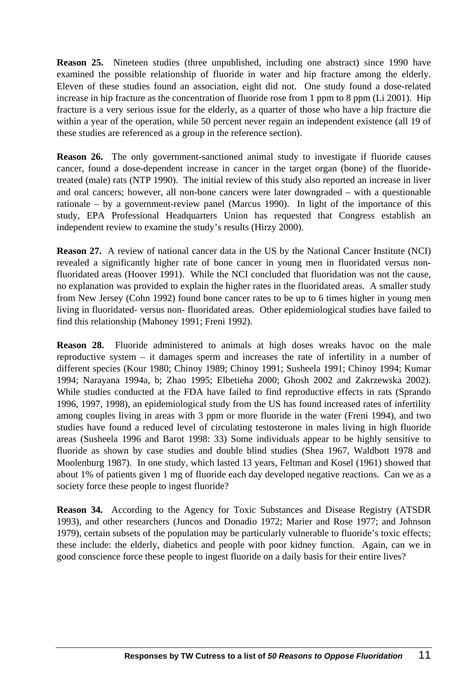**Reason 25.** Nineteen studies (three unpublished, including one abstract) since 1990 have examined the possible relationship of fluoride in water and hip fracture among the elderly. Eleven of these studies found an association, eight did not. One study found a dose-related increase in hip fracture as the concentration of fluoride rose from 1 ppm to 8 ppm (Li 2001). Hip fracture is a very serious issue for the elderly, as a quarter of those who have a hip fracture die within a year of the operation, while 50 percent never regain an independent existence (all 19 of these studies are referenced as a group in the reference section).

**Reason 26.** The only government-sanctioned animal study to investigate if fluoride causes cancer, found a dose-dependent increase in cancer in the target organ (bone) of the fluoridetreated (male) rats (NTP 1990). The initial review of this study also reported an increase in liver and oral cancers; however, all non-bone cancers were later downgraded – with a questionable rationale – by a government-review panel (Marcus 1990). In light of the importance of this study, EPA Professional Headquarters Union has requested that Congress establish an independent review to examine the study's results (Hirzy 2000).

**Reason 27.** A review of national cancer data in the US by the National Cancer Institute (NCI) revealed a significantly higher rate of bone cancer in young men in fluoridated versus nonfluoridated areas (Hoover 1991). While the NCI concluded that fluoridation was not the cause, no explanation was provided to explain the higher rates in the fluoridated areas. A smaller study from New Jersey (Cohn 1992) found bone cancer rates to be up to 6 times higher in young men living in fluoridated- versus non- fluoridated areas. Other epidemiological studies have failed to find this relationship (Mahoney 1991; Freni 1992).

**Reason 28.** Fluoride administered to animals at high doses wreaks havoc on the male reproductive system – it damages sperm and increases the rate of infertility in a number of different species (Kour 1980; Chinoy 1989; Chinoy 1991; Susheela 1991; Chinoy 1994; Kumar 1994; Narayana 1994a, b; Zhao 1995; Elbetieha 2000; Ghosh 2002 and Zakrzewska 2002). While studies conducted at the FDA have failed to find reproductive effects in rats (Sprando 1996, 1997, 1998), an epidemiological study from the US has found increased rates of infertility among couples living in areas with 3 ppm or more fluoride in the water (Freni 1994), and two studies have found a reduced level of circulating testosterone in males living in high fluoride areas (Susheela 1996 and Barot 1998: 33) Some individuals appear to be highly sensitive to fluoride as shown by case studies and double blind studies (Shea 1967, Waldbott 1978 and Moolenburg 1987). In one study, which lasted 13 years, Feltman and Kosel (1961) showed that about 1% of patients given 1 mg of fluoride each day developed negative reactions. Can we as a society force these people to ingest fluoride?

**Reason 34.** According to the Agency for Toxic Substances and Disease Registry (ATSDR 1993), and other researchers (Juncos and Donadio 1972; Marier and Rose 1977; and Johnson 1979), certain subsets of the population may be particularly vulnerable to fluoride's toxic effects; these include: the elderly, diabetics and people with poor kidney function. Again, can we in good conscience force these people to ingest fluoride on a daily basis for their entire lives?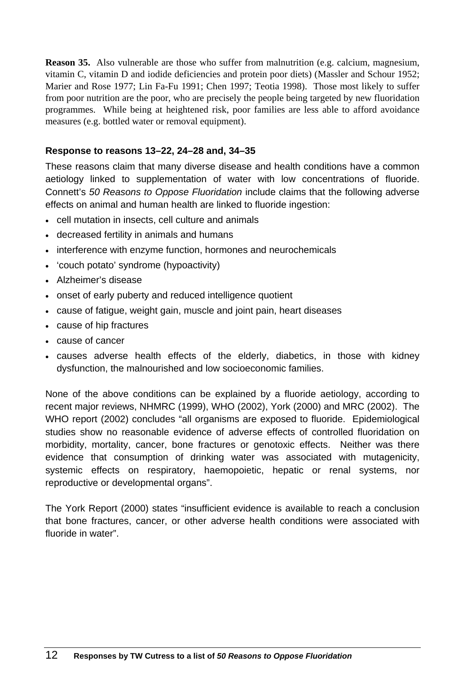**Reason 35.** Also vulnerable are those who suffer from malnutrition (e.g. calcium, magnesium, vitamin C, vitamin D and iodide deficiencies and protein poor diets) (Massler and Schour 1952; Marier and Rose 1977; Lin Fa-Fu 1991; Chen 1997; Teotia 1998). Those most likely to suffer from poor nutrition are the poor, who are precisely the people being targeted by new fluoridation programmes. While being at heightened risk, poor families are less able to afford avoidance measures (e.g. bottled water or removal equipment).

#### **Response to reasons 13–22, 24–28 and, 34–35**

These reasons claim that many diverse disease and health conditions have a common aetiology linked to supplementation of water with low concentrations of fluoride. Connett's *50 Reasons to Oppose Fluoridation* include claims that the following adverse effects on animal and human health are linked to fluoride ingestion:

- cell mutation in insects, cell culture and animals
- decreased fertility in animals and humans
- interference with enzyme function, hormones and neurochemicals
- 'couch potato' syndrome (hypoactivity)
- Alzheimer's disease
- onset of early puberty and reduced intelligence quotient
- cause of fatigue, weight gain, muscle and joint pain, heart diseases
- cause of hip fractures
- cause of cancer
- causes adverse health effects of the elderly, diabetics, in those with kidney dysfunction, the malnourished and low socioeconomic families.

None of the above conditions can be explained by a fluoride aetiology, according to recent major reviews, NHMRC (1999), WHO (2002), York (2000) and MRC (2002). The WHO report (2002) concludes "all organisms are exposed to fluoride. Epidemiological studies show no reasonable evidence of adverse effects of controlled fluoridation on morbidity, mortality, cancer, bone fractures or genotoxic effects. Neither was there evidence that consumption of drinking water was associated with mutagenicity, systemic effects on respiratory, haemopoietic, hepatic or renal systems, nor reproductive or developmental organs".

The York Report (2000) states "insufficient evidence is available to reach a conclusion that bone fractures, cancer, or other adverse health conditions were associated with fluoride in water".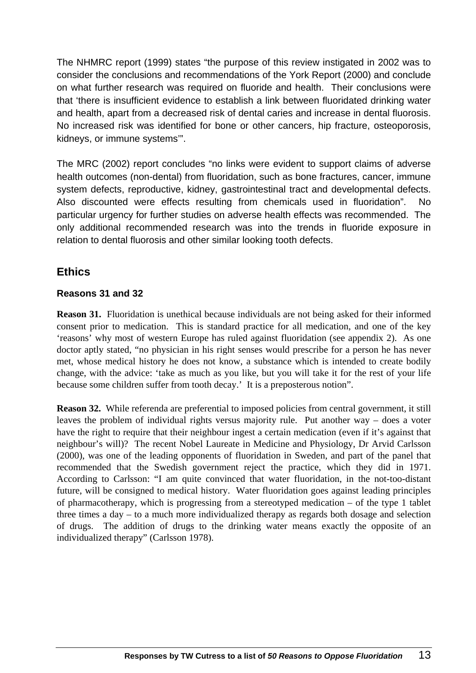The NHMRC report (1999) states "the purpose of this review instigated in 2002 was to consider the conclusions and recommendations of the York Report (2000) and conclude on what further research was required on fluoride and health. Their conclusions were that 'there is insufficient evidence to establish a link between fluoridated drinking water and health, apart from a decreased risk of dental caries and increase in dental fluorosis. No increased risk was identified for bone or other cancers, hip fracture, osteoporosis, kidneys, or immune systems'".

The MRC (2002) report concludes "no links were evident to support claims of adverse health outcomes (non-dental) from fluoridation, such as bone fractures, cancer, immune system defects, reproductive, kidney, gastrointestinal tract and developmental defects. Also discounted were effects resulting from chemicals used in fluoridation". No particular urgency for further studies on adverse health effects was recommended. The only additional recommended research was into the trends in fluoride exposure in relation to dental fluorosis and other similar looking tooth defects.

## **Ethics**

### **Reasons 31 and 32**

**Reason 31.** Fluoridation is unethical because individuals are not being asked for their informed consent prior to medication. This is standard practice for all medication, and one of the key 'reasons' why most of western Europe has ruled against fluoridation (see appendix 2). As one doctor aptly stated, "no physician in his right senses would prescribe for a person he has never met, whose medical history he does not know, a substance which is intended to create bodily change, with the advice: 'take as much as you like, but you will take it for the rest of your life because some children suffer from tooth decay.' It is a preposterous notion".

**Reason 32.** While referenda are preferential to imposed policies from central government, it still leaves the problem of individual rights versus majority rule. Put another way – does a voter have the right to require that their neighbour ingest a certain medication (even if it's against that neighbour's will)? The recent Nobel Laureate in Medicine and Physiology, Dr Arvid Carlsson (2000), was one of the leading opponents of fluoridation in Sweden, and part of the panel that recommended that the Swedish government reject the practice, which they did in 1971. According to Carlsson: "I am quite convinced that water fluoridation, in the not-too-distant future, will be consigned to medical history. Water fluoridation goes against leading principles of pharmacotherapy, which is progressing from a stereotyped medication – of the type 1 tablet three times a day – to a much more individualized therapy as regards both dosage and selection of drugs. The addition of drugs to the drinking water means exactly the opposite of an individualized therapy" (Carlsson 1978).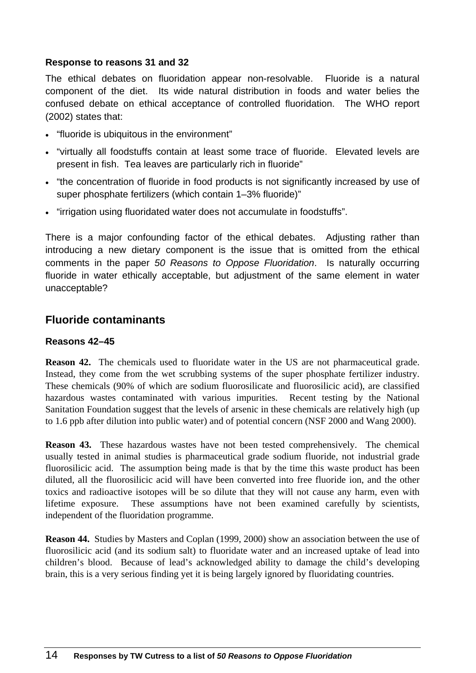#### **Response to reasons 31 and 32**

The ethical debates on fluoridation appear non-resolvable. Fluoride is a natural component of the diet. Its wide natural distribution in foods and water belies the confused debate on ethical acceptance of controlled fluoridation. The WHO report (2002) states that:

- "fluoride is ubiquitous in the environment"
- "virtually all foodstuffs contain at least some trace of fluoride. Elevated levels are present in fish. Tea leaves are particularly rich in fluoride"
- "the concentration of fluoride in food products is not significantly increased by use of super phosphate fertilizers (which contain 1–3% fluoride)"
- "irrigation using fluoridated water does not accumulate in foodstuffs".

There is a major confounding factor of the ethical debates. Adjusting rather than introducing a new dietary component is the issue that is omitted from the ethical comments in the paper *50 Reasons to Oppose Fluoridation*. Is naturally occurring fluoride in water ethically acceptable, but adjustment of the same element in water unacceptable?

### **Fluoride contaminants**

#### **Reasons 42–45**

**Reason 42.** The chemicals used to fluoridate water in the US are not pharmaceutical grade. Instead, they come from the wet scrubbing systems of the super phosphate fertilizer industry. These chemicals (90% of which are sodium fluorosilicate and fluorosilicic acid), are classified hazardous wastes contaminated with various impurities. Recent testing by the National Sanitation Foundation suggest that the levels of arsenic in these chemicals are relatively high (up to 1.6 ppb after dilution into public water) and of potential concern (NSF 2000 and Wang 2000).

**Reason 43.** These hazardous wastes have not been tested comprehensively. The chemical usually tested in animal studies is pharmaceutical grade sodium fluoride, not industrial grade fluorosilicic acid. The assumption being made is that by the time this waste product has been diluted, all the fluorosilicic acid will have been converted into free fluoride ion, and the other toxics and radioactive isotopes will be so dilute that they will not cause any harm, even with lifetime exposure. These assumptions have not been examined carefully by scientists, independent of the fluoridation programme.

**Reason 44.** Studies by Masters and Coplan (1999, 2000) show an association between the use of fluorosilicic acid (and its sodium salt) to fluoridate water and an increased uptake of lead into children's blood. Because of lead's acknowledged ability to damage the child's developing brain, this is a very serious finding yet it is being largely ignored by fluoridating countries.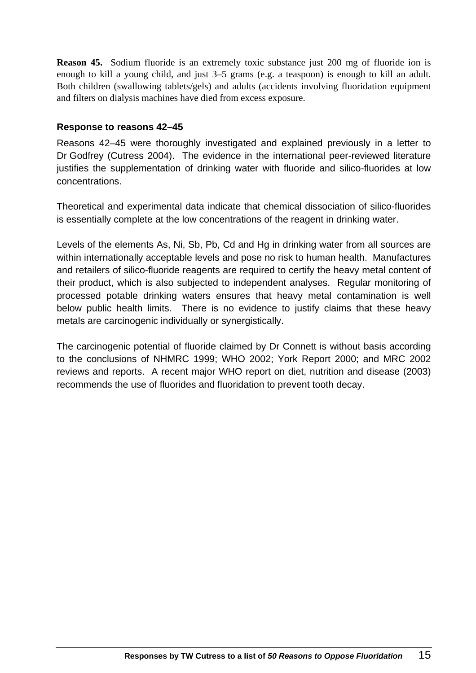**Reason 45.** Sodium fluoride is an extremely toxic substance just 200 mg of fluoride ion is enough to kill a young child, and just 3–5 grams (e.g. a teaspoon) is enough to kill an adult. Both children (swallowing tablets/gels) and adults (accidents involving fluoridation equipment and filters on dialysis machines have died from excess exposure.

#### **Response to reasons 42–45**

Reasons 42–45 were thoroughly investigated and explained previously in a letter to Dr Godfrey (Cutress 2004). The evidence in the international peer-reviewed literature justifies the supplementation of drinking water with fluoride and silico-fluorides at low concentrations.

Theoretical and experimental data indicate that chemical dissociation of silico-fluorides is essentially complete at the low concentrations of the reagent in drinking water.

Levels of the elements As, Ni, Sb, Pb, Cd and Hg in drinking water from all sources are within internationally acceptable levels and pose no risk to human health. Manufactures and retailers of silico-fluoride reagents are required to certify the heavy metal content of their product, which is also subjected to independent analyses. Regular monitoring of processed potable drinking waters ensures that heavy metal contamination is well below public health limits. There is no evidence to justify claims that these heavy metals are carcinogenic individually or synergistically.

The carcinogenic potential of fluoride claimed by Dr Connett is without basis according to the conclusions of NHMRC 1999; WHO 2002; York Report 2000; and MRC 2002 reviews and reports. A recent major WHO report on diet, nutrition and disease (2003) recommends the use of fluorides and fluoridation to prevent tooth decay.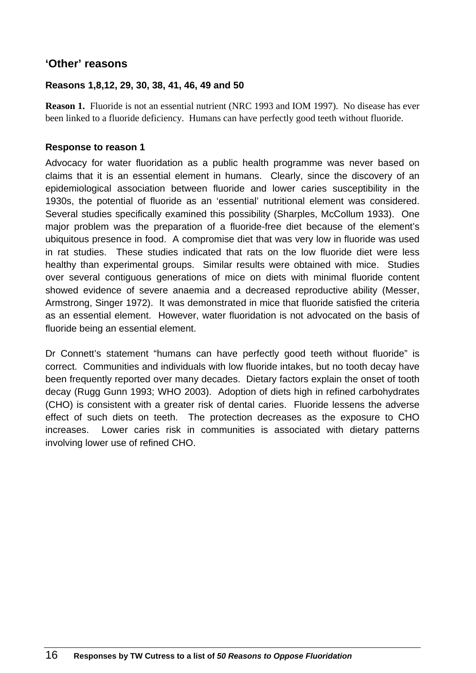### **'Other' reasons**

#### **Reasons 1,8,12, 29, 30, 38, 41, 46, 49 and 50**

**Reason 1.** Fluoride is not an essential nutrient (NRC 1993 and IOM 1997). No disease has ever been linked to a fluoride deficiency. Humans can have perfectly good teeth without fluoride.

#### **Response to reason 1**

Advocacy for water fluoridation as a public health programme was never based on claims that it is an essential element in humans. Clearly, since the discovery of an epidemiological association between fluoride and lower caries susceptibility in the 1930s, the potential of fluoride as an 'essential' nutritional element was considered. Several studies specifically examined this possibility (Sharples, McCollum 1933). One major problem was the preparation of a fluoride-free diet because of the element's ubiquitous presence in food. A compromise diet that was very low in fluoride was used in rat studies. These studies indicated that rats on the low fluoride diet were less healthy than experimental groups. Similar results were obtained with mice. Studies over several contiguous generations of mice on diets with minimal fluoride content showed evidence of severe anaemia and a decreased reproductive ability (Messer, Armstrong, Singer 1972). It was demonstrated in mice that fluoride satisfied the criteria as an essential element. However, water fluoridation is not advocated on the basis of fluoride being an essential element.

Dr Connett's statement "humans can have perfectly good teeth without fluoride" is correct. Communities and individuals with low fluoride intakes, but no tooth decay have been frequently reported over many decades. Dietary factors explain the onset of tooth decay (Rugg Gunn 1993; WHO 2003). Adoption of diets high in refined carbohydrates (CHO) is consistent with a greater risk of dental caries. Fluoride lessens the adverse effect of such diets on teeth. The protection decreases as the exposure to CHO increases. Lower caries risk in communities is associated with dietary patterns involving lower use of refined CHO.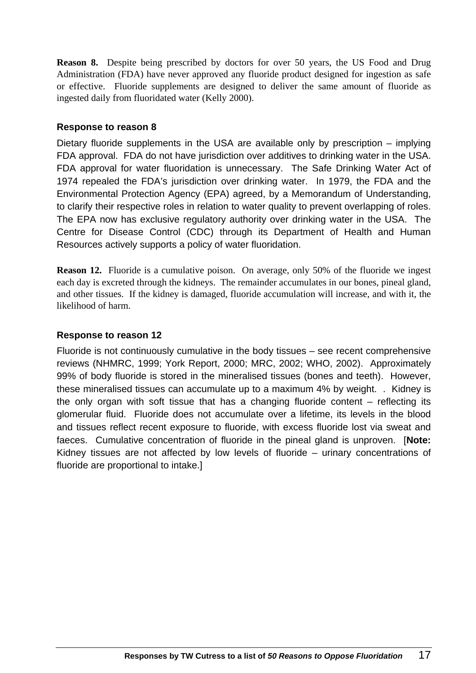**Reason 8.** Despite being prescribed by doctors for over 50 years, the US Food and Drug Administration (FDA) have never approved any fluoride product designed for ingestion as safe or effective. Fluoride supplements are designed to deliver the same amount of fluoride as ingested daily from fluoridated water (Kelly 2000).

#### **Response to reason 8**

Dietary fluoride supplements in the USA are available only by prescription – implying FDA approval. FDA do not have jurisdiction over additives to drinking water in the USA. FDA approval for water fluoridation is unnecessary. The Safe Drinking Water Act of 1974 repealed the FDA's jurisdiction over drinking water. In 1979, the FDA and the Environmental Protection Agency (EPA) agreed, by a Memorandum of Understanding, to clarify their respective roles in relation to water quality to prevent overlapping of roles. The EPA now has exclusive regulatory authority over drinking water in the USA. The Centre for Disease Control (CDC) through its Department of Health and Human Resources actively supports a policy of water fluoridation.

**Reason 12.** Fluoride is a cumulative poison. On average, only 50% of the fluoride we ingest each day is excreted through the kidneys. The remainder accumulates in our bones, pineal gland, and other tissues. If the kidney is damaged, fluoride accumulation will increase, and with it, the likelihood of harm.

#### **Response to reason 12**

Fluoride is not continuously cumulative in the body tissues – see recent comprehensive reviews (NHMRC, 1999; York Report, 2000; MRC, 2002; WHO, 2002). Approximately 99% of body fluoride is stored in the mineralised tissues (bones and teeth). However, these mineralised tissues can accumulate up to a maximum 4% by weight. . Kidney is the only organ with soft tissue that has a changing fluoride content – reflecting its glomerular fluid. Fluoride does not accumulate over a lifetime, its levels in the blood and tissues reflect recent exposure to fluoride, with excess fluoride lost via sweat and faeces. Cumulative concentration of fluoride in the pineal gland is unproven. [**Note:**  Kidney tissues are not affected by low levels of fluoride – urinary concentrations of fluoride are proportional to intake.]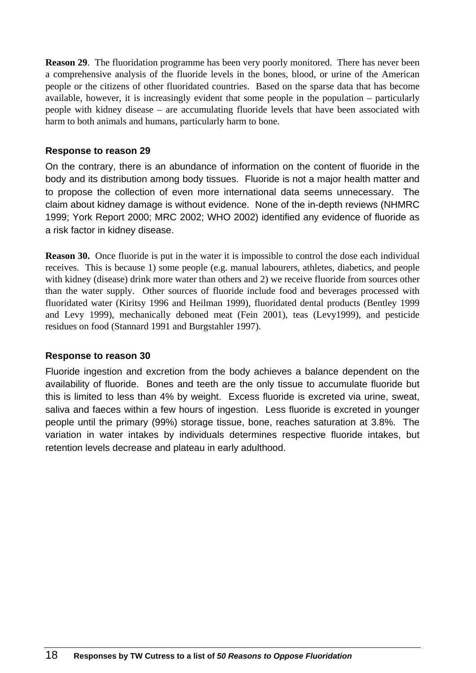**Reason 29.** The fluoridation programme has been very poorly monitored. There has never been a comprehensive analysis of the fluoride levels in the bones, blood, or urine of the American people or the citizens of other fluoridated countries. Based on the sparse data that has become available, however, it is increasingly evident that some people in the population – particularly people with kidney disease – are accumulating fluoride levels that have been associated with harm to both animals and humans, particularly harm to bone.

#### **Response to reason 29**

On the contrary, there is an abundance of information on the content of fluoride in the body and its distribution among body tissues. Fluoride is not a major health matter and to propose the collection of even more international data seems unnecessary. The claim about kidney damage is without evidence. None of the in-depth reviews (NHMRC 1999; York Report 2000; MRC 2002; WHO 2002) identified any evidence of fluoride as a risk factor in kidney disease.

**Reason 30.** Once fluoride is put in the water it is impossible to control the dose each individual receives. This is because 1) some people (e.g. manual labourers, athletes, diabetics, and people with kidney (disease) drink more water than others and 2) we receive fluoride from sources other than the water supply. Other sources of fluoride include food and beverages processed with fluoridated water (Kiritsy 1996 and Heilman 1999), fluoridated dental products (Bentley 1999 and Levy 1999), mechanically deboned meat (Fein 2001), teas (Levy1999), and pesticide residues on food (Stannard 1991 and Burgstahler 1997).

#### **Response to reason 30**

Fluoride ingestion and excretion from the body achieves a balance dependent on the availability of fluoride. Bones and teeth are the only tissue to accumulate fluoride but this is limited to less than 4% by weight. Excess fluoride is excreted via urine, sweat, saliva and faeces within a few hours of ingestion. Less fluoride is excreted in younger people until the primary (99%) storage tissue, bone, reaches saturation at 3.8%. The variation in water intakes by individuals determines respective fluoride intakes, but retention levels decrease and plateau in early adulthood.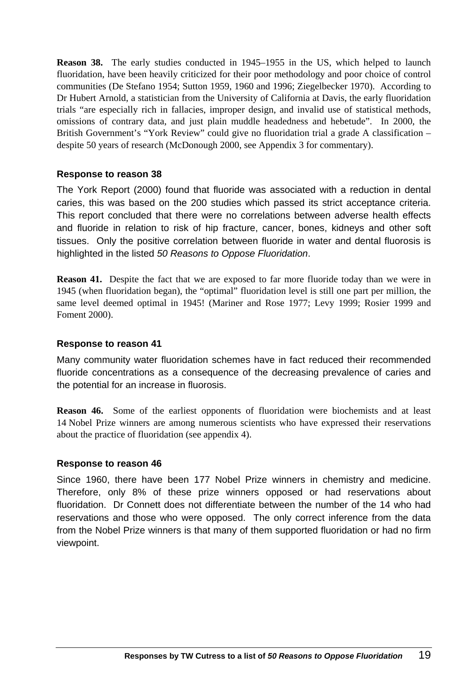**Reason 38.** The early studies conducted in 1945–1955 in the US, which helped to launch fluoridation, have been heavily criticized for their poor methodology and poor choice of control communities (De Stefano 1954; Sutton 1959, 1960 and 1996; Ziegelbecker 1970). According to Dr Hubert Arnold, a statistician from the University of California at Davis, the early fluoridation trials "are especially rich in fallacies, improper design, and invalid use of statistical methods, omissions of contrary data, and just plain muddle headedness and hebetude". In 2000, the British Government's "York Review" could give no fluoridation trial a grade A classification – despite 50 years of research (McDonough 2000, see Appendix 3 for commentary).

#### **Response to reason 38**

The York Report (2000) found that fluoride was associated with a reduction in dental caries, this was based on the 200 studies which passed its strict acceptance criteria. This report concluded that there were no correlations between adverse health effects and fluoride in relation to risk of hip fracture, cancer, bones, kidneys and other soft tissues. Only the positive correlation between fluoride in water and dental fluorosis is highlighted in the listed *50 Reasons to Oppose Fluoridation*.

**Reason 41.** Despite the fact that we are exposed to far more fluoride today than we were in 1945 (when fluoridation began), the "optimal" fluoridation level is still one part per million, the same level deemed optimal in 1945! (Mariner and Rose 1977; Levy 1999; Rosier 1999 and Foment 2000).

#### **Response to reason 41**

Many community water fluoridation schemes have in fact reduced their recommended fluoride concentrations as a consequence of the decreasing prevalence of caries and the potential for an increase in fluorosis.

**Reason 46.** Some of the earliest opponents of fluoridation were biochemists and at least 14 Nobel Prize winners are among numerous scientists who have expressed their reservations about the practice of fluoridation (see appendix 4).

#### **Response to reason 46**

Since 1960, there have been 177 Nobel Prize winners in chemistry and medicine. Therefore, only 8% of these prize winners opposed or had reservations about fluoridation. Dr Connett does not differentiate between the number of the 14 who had reservations and those who were opposed. The only correct inference from the data from the Nobel Prize winners is that many of them supported fluoridation or had no firm viewpoint.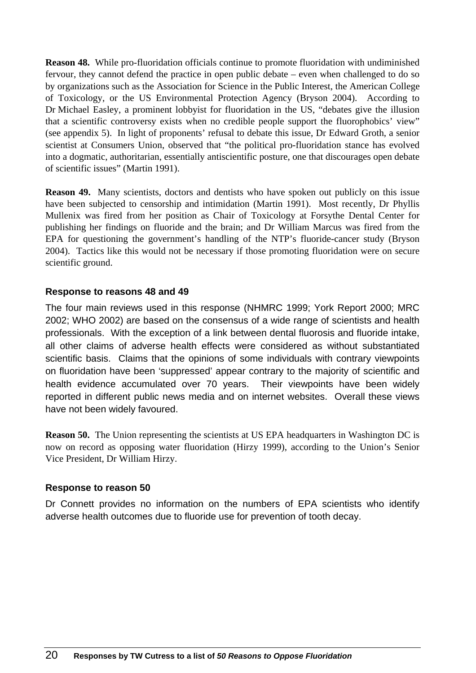**Reason 48.** While pro-fluoridation officials continue to promote fluoridation with undiminished fervour, they cannot defend the practice in open public debate – even when challenged to do so by organizations such as the Association for Science in the Public Interest, the American College of Toxicology, or the US Environmental Protection Agency (Bryson 2004). According to Dr Michael Easley, a prominent lobbyist for fluoridation in the US, "debates give the illusion that a scientific controversy exists when no credible people support the fluorophobics' view" (see appendix 5). In light of proponents' refusal to debate this issue, Dr Edward Groth, a senior scientist at Consumers Union, observed that "the political pro-fluoridation stance has evolved into a dogmatic, authoritarian, essentially antiscientific posture, one that discourages open debate of scientific issues" (Martin 1991).

**Reason 49.** Many scientists, doctors and dentists who have spoken out publicly on this issue have been subjected to censorship and intimidation (Martin 1991). Most recently, Dr Phyllis Mullenix was fired from her position as Chair of Toxicology at Forsythe Dental Center for publishing her findings on fluoride and the brain; and Dr William Marcus was fired from the EPA for questioning the government's handling of the NTP's fluoride-cancer study (Bryson 2004). Tactics like this would not be necessary if those promoting fluoridation were on secure scientific ground.

#### **Response to reasons 48 and 49**

The four main reviews used in this response (NHMRC 1999; York Report 2000; MRC 2002; WHO 2002) are based on the consensus of a wide range of scientists and health professionals. With the exception of a link between dental fluorosis and fluoride intake, all other claims of adverse health effects were considered as without substantiated scientific basis. Claims that the opinions of some individuals with contrary viewpoints on fluoridation have been 'suppressed' appear contrary to the majority of scientific and health evidence accumulated over 70 years. Their viewpoints have been widely reported in different public news media and on internet websites. Overall these views have not been widely favoured.

**Reason 50.** The Union representing the scientists at US EPA headquarters in Washington DC is now on record as opposing water fluoridation (Hirzy 1999), according to the Union's Senior Vice President, Dr William Hirzy.

#### **Response to reason 50**

Dr Connett provides no information on the numbers of EPA scientists who identify adverse health outcomes due to fluoride use for prevention of tooth decay.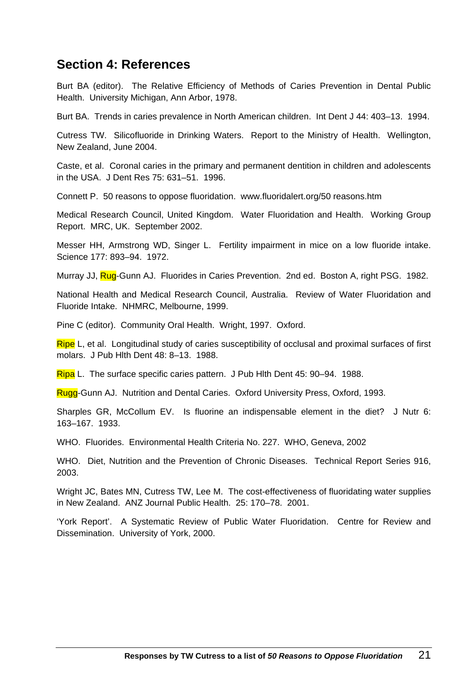## **Section 4: References**

Burt BA (editor). The Relative Efficiency of Methods of Caries Prevention in Dental Public Health. University Michigan, Ann Arbor, 1978.

Burt BA. Trends in caries prevalence in North American children. Int Dent J 44: 403–13. 1994.

Cutress TW. Silicofluoride in Drinking Waters. Report to the Ministry of Health. Wellington, New Zealand, June 2004.

Caste, et al. Coronal caries in the primary and permanent dentition in children and adolescents in the USA. J Dent Res 75: 631–51. 1996.

Connett P. 50 reasons to oppose fluoridation. www.fluoridalert.org/50 reasons.htm

Medical Research Council, United Kingdom. Water Fluoridation and Health. Working Group Report. MRC, UK. September 2002.

Messer HH, Armstrong WD, Singer L. Fertility impairment in mice on a low fluoride intake. Science 177: 893–94. 1972.

Murray JJ, Rug-Gunn AJ. Fluorides in Caries Prevention. 2nd ed. Boston A, right PSG. 1982.

National Health and Medical Research Council, Australia. Review of Water Fluoridation and Fluoride Intake. NHMRC, Melbourne, 1999.

Pine C (editor). Community Oral Health. Wright, 1997. Oxford.

Ripe L, et al. Longitudinal study of caries susceptibility of occlusal and proximal surfaces of first molars. J Pub Hlth Dent 48: 8–13. 1988.

Ripa L. The surface specific caries pattern. J Pub Hlth Dent 45: 90–94. 1988.

Rugg-Gunn AJ. Nutrition and Dental Caries. Oxford University Press, Oxford, 1993.

Sharples GR, McCollum EV. Is fluorine an indispensable element in the diet? J Nutr 6: 163–167. 1933.

WHO. Fluorides. Environmental Health Criteria No. 227. WHO, Geneva, 2002

WHO. Diet, Nutrition and the Prevention of Chronic Diseases. Technical Report Series 916, 2003.

Wright JC, Bates MN, Cutress TW, Lee M. The cost-effectiveness of fluoridating water supplies in New Zealand. ANZ Journal Public Health. 25: 170–78. 2001.

'York Report'. A Systematic Review of Public Water Fluoridation. Centre for Review and Dissemination. University of York, 2000.